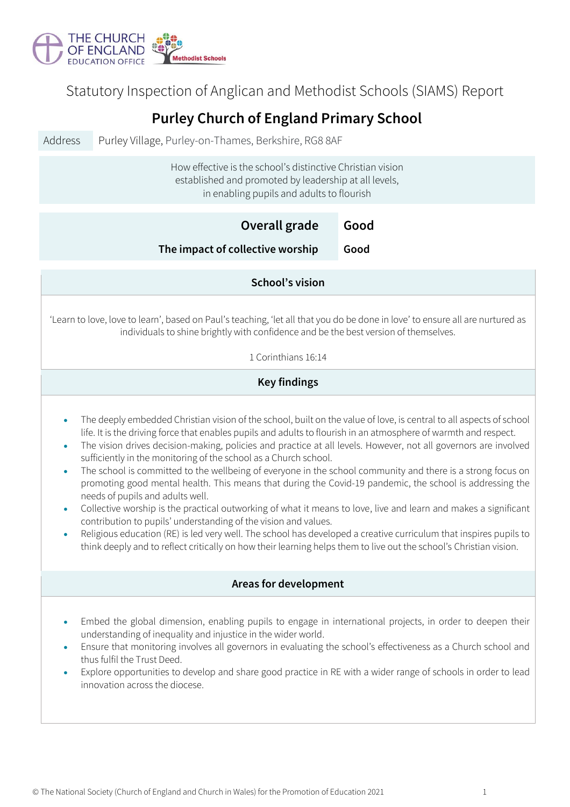

Statutory Inspection of Anglican and Methodist Schools (SIAMS) Report

## **Purley Church of England Primary School**

Address Purley Village, Purley-on-Thames, Berkshire, RG8 8AF

How effective is the school's distinctive Christian vision established and promoted by leadership at all levels, in enabling pupils and adults to flourish

| in enabling pupils and addits to hourism                                                                                                                                                                                                                                                                                                                                                                                                                                                                                                                                                                                                                                                                                                                                                                                                                                                                                                                                                                                                                                                                                                                                                        |              |  |  |  |
|-------------------------------------------------------------------------------------------------------------------------------------------------------------------------------------------------------------------------------------------------------------------------------------------------------------------------------------------------------------------------------------------------------------------------------------------------------------------------------------------------------------------------------------------------------------------------------------------------------------------------------------------------------------------------------------------------------------------------------------------------------------------------------------------------------------------------------------------------------------------------------------------------------------------------------------------------------------------------------------------------------------------------------------------------------------------------------------------------------------------------------------------------------------------------------------------------|--------------|--|--|--|
| Overall grade<br>The impact of collective worship                                                                                                                                                                                                                                                                                                                                                                                                                                                                                                                                                                                                                                                                                                                                                                                                                                                                                                                                                                                                                                                                                                                                               | Good<br>Good |  |  |  |
| School's vision                                                                                                                                                                                                                                                                                                                                                                                                                                                                                                                                                                                                                                                                                                                                                                                                                                                                                                                                                                                                                                                                                                                                                                                 |              |  |  |  |
| 'Learn to love, love to learn', based on Paul's teaching, 'let all that you do be done in love' to ensure all are nurtured as<br>individuals to shine brightly with confidence and be the best version of themselves.<br>1 Corinthians 16:14                                                                                                                                                                                                                                                                                                                                                                                                                                                                                                                                                                                                                                                                                                                                                                                                                                                                                                                                                    |              |  |  |  |
| <b>Key findings</b>                                                                                                                                                                                                                                                                                                                                                                                                                                                                                                                                                                                                                                                                                                                                                                                                                                                                                                                                                                                                                                                                                                                                                                             |              |  |  |  |
| The deeply embedded Christian vision of the school, built on the value of love, is central to all aspects of school<br>$\bullet$<br>life. It is the driving force that enables pupils and adults to flourish in an atmosphere of warmth and respect.<br>The vision drives decision-making, policies and practice at all levels. However, not all governors are involved<br>$\bullet$<br>sufficiently in the monitoring of the school as a Church school.<br>The school is committed to the wellbeing of everyone in the school community and there is a strong focus on<br>$\bullet$<br>promoting good mental health. This means that during the Covid-19 pandemic, the school is addressing the<br>needs of pupils and adults well.<br>Collective worship is the practical outworking of what it means to love, live and learn and makes a significant<br>$\bullet$<br>contribution to pupils' understanding of the vision and values.<br>Religious education (RE) is led very well. The school has developed a creative curriculum that inspires pupils to<br>$\bullet$<br>think deeply and to reflect critically on how their learning helps them to live out the school's Christian vision. |              |  |  |  |
| Areas for development                                                                                                                                                                                                                                                                                                                                                                                                                                                                                                                                                                                                                                                                                                                                                                                                                                                                                                                                                                                                                                                                                                                                                                           |              |  |  |  |
| Embed the global dimension, enabling pupils to engage in international projects, in order to deepen their<br>understanding of inequality and injustice in the wider world.<br>Ensure that monitoring involves all governors in evaluating the school's effectiveness as a Church school and<br>$\bullet$<br>thus fulfil the Trust Deed.<br>Explore opportunities to develop and share good practice in RE with a wider range of schools in order to lead<br>۰<br>innovation across the diocese.                                                                                                                                                                                                                                                                                                                                                                                                                                                                                                                                                                                                                                                                                                 |              |  |  |  |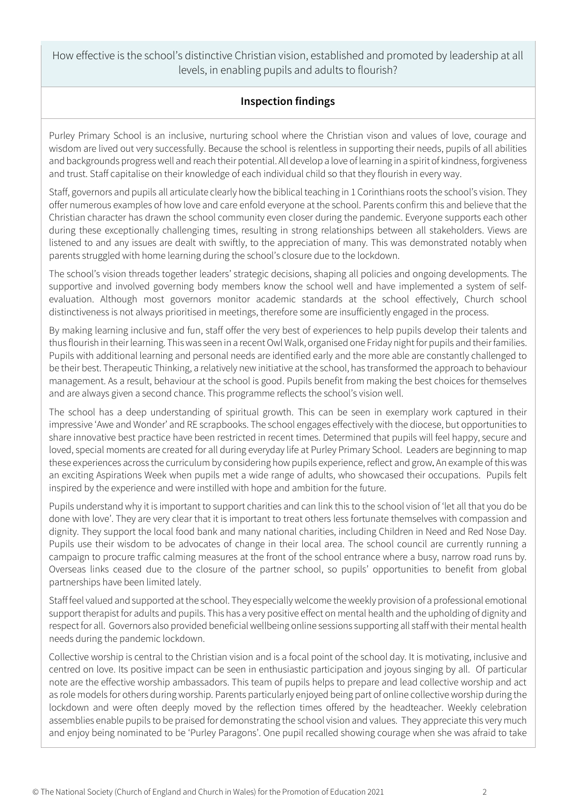How effective is the school's distinctive Christian vision, established and promoted by leadership at all levels, in enabling pupils and adults to flourish?

## **Inspection findings**

Purley Primary School is an inclusive, nurturing school where the Christian vison and values of love, courage and wisdom are lived out very successfully. Because the school is relentless in supporting their needs, pupils of all abilities and backgrounds progress well and reach their potential. All develop a love of learning in a spirit of kindness, forgiveness and trust. Staff capitalise on their knowledge of each individual child so that they flourish in every way.

Staff, governors and pupils all articulate clearly how the biblical teaching in 1 Corinthians roots the school's vision. They offer numerous examples of how love and care enfold everyone at the school. Parents confirm this and believe that the Christian character has drawn the school community even closer during the pandemic. Everyone supports each other during these exceptionally challenging times, resulting in strong relationships between all stakeholders. Views are listened to and any issues are dealt with swiftly, to the appreciation of many. This was demonstrated notably when parents struggled with home learning during the school's closure due to the lockdown.

The school's vision threads together leaders' strategic decisions, shaping all policies and ongoing developments. The supportive and involved governing body members know the school well and have implemented a system of selfevaluation. Although most governors monitor academic standards at the school effectively, Church school distinctiveness is not always prioritised in meetings, therefore some are insufficiently engaged in the process.

By making learning inclusive and fun, staff offer the very best of experiences to help pupils develop their talents and thus flourish in their learning. This was seen in a recent Owl Walk, organised one Friday night for pupils and their families. Pupils with additional learning and personal needs are identified early and the more able are constantly challenged to be their best. Therapeutic Thinking, a relatively new initiative at the school, has transformed the approach to behaviour management. As a result, behaviour at the school is good. Pupils benefit from making the best choices for themselves and are always given a second chance. This programme reflects the school's vision well.

The school has a deep understanding of spiritual growth. This can be seen in exemplary work captured in their impressive 'Awe and Wonder' and RE scrapbooks. The school engages effectively with the diocese, but opportunities to share innovative best practice have been restricted in recent times. Determined that pupils will feel happy, secure and loved, special moments are created for all during everyday life at Purley Primary School. Leaders are beginning to map these experiences across the curriculum by considering how pupils experience, reflect and grow. An example of this was an exciting Aspirations Week when pupils met a wide range of adults, who showcased their occupations. Pupils felt inspired by the experience and were instilled with hope and ambition for the future.

Pupils understand why it is important to support charities and can link this to the school vision of 'let all that you do be done with love'. They are very clear that it is important to treat others less fortunate themselves with compassion and dignity. They support the local food bank and many national charities, including Children in Need and Red Nose Day. Pupils use their wisdom to be advocates of change in their local area. The school council are currently running a campaign to procure traffic calming measures at the front of the school entrance where a busy, narrow road runs by. Overseas links ceased due to the closure of the partner school, so pupils' opportunities to benefit from global partnerships have been limited lately.

Staff feel valued and supported at the school. They especially welcome the weekly provision of a professional emotional support therapist for adults and pupils. This has a very positive effect on mental health and the upholding of dignity and respect for all. Governors also provided beneficial wellbeing online sessions supporting all staff with their mental health needs during the pandemic lockdown.

Collective worship is central to the Christian vision and is a focal point of the school day. It is motivating, inclusive and centred on love. Its positive impact can be seen in enthusiastic participation and joyous singing by all. Of particular note are the effective worship ambassadors. This team of pupils helps to prepare and lead collective worship and act as role models for others during worship. Parents particularly enjoyed being part of online collective worship during the lockdown and were often deeply moved by the reflection times offered by the headteacher. Weekly celebration assemblies enable pupils to be praised for demonstrating the school vision and values. They appreciate this very much and enjoy being nominated to be 'Purley Paragons'. One pupil recalled showing courage when she was afraid to take